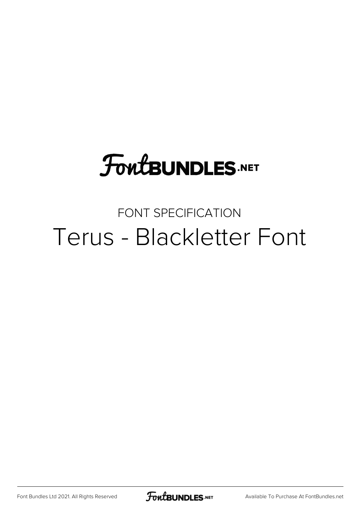# **FoutBUNDLES.NET**

#### FONT SPECIFICATION Terus - Blackletter Font

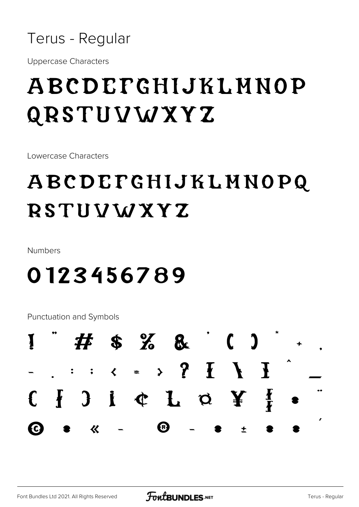

**Uppercase Characters** 

## ABCDEFGHIJKLMNOP QRSTUVWXYZ

Lowercase Characters

## ABCDEFGHIJKLMNOPQ **RSTUVWXYZ**

Numbers

## 0123456789

**Punctuation and Symbols** 

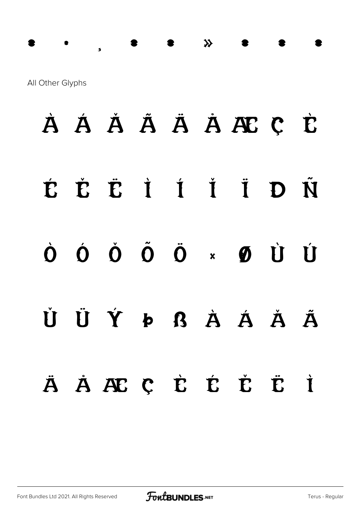#### All Other Glyphs

## À Á Å Å Å Ä Å Æ C È ĚË İ Í Ï É D Ñ Ó Ŏ Õ Ö × Ø Ù Ú  $\dot{\mathbf{O}}$ ÜÝÞßÀÁĂ  $\check{H}$ Ã ÄÄÆÇĖĖĖË İ

 $\mathcal{R}$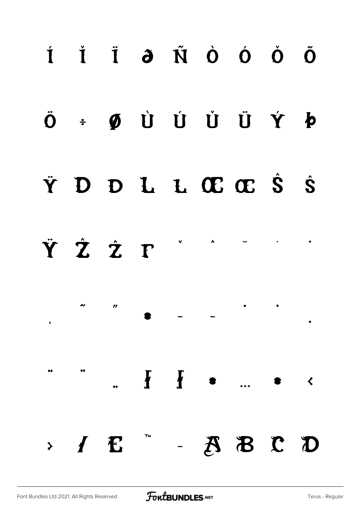## Í Ĭ Ï ð Ñ Ò Ó Ŏ Õ  $\ddot{\mathbf{O}}$   $\div$   $\ddot{\mathbf{O}}$   $\dot{\mathbf{U}}$   $\dot{\mathbf{U}}$   $\dot{\mathbf{U}}$   $\dot{\mathbf{V}}$   $\dot{\mathbf{O}}$ Ÿ D D L L Œ Œ Ŝ Ŝ ŸŹŹ T  $\lambda$  $\bullet$  $\boldsymbol{v}$  $\hat{\mathbf{c}}$ 66  $\mathbf{F}$  $\mathbf{f}$  $\sim$  $\overline{A}$   $\overline{B}$   $\overline{C}$   $\overline{D}$ TM  $> I E$